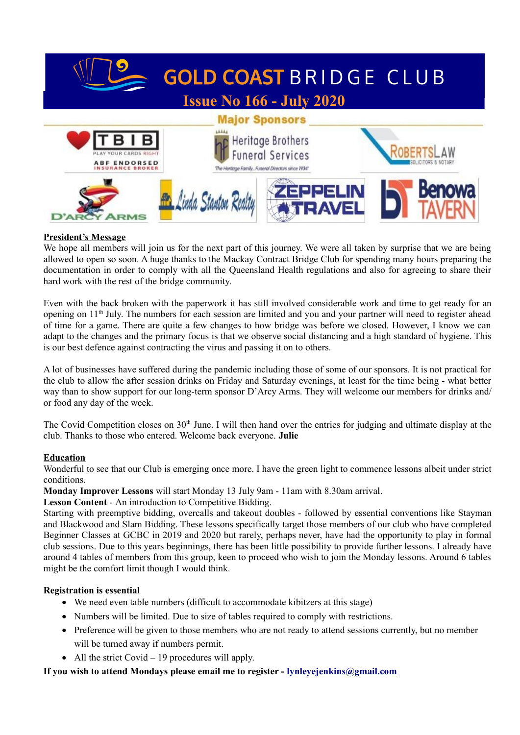

### **President's Message**

We hope all members will join us for the next part of this journey. We were all taken by surprise that we are being allowed to open so soon. A huge thanks to the Mackay Contract Bridge Club for spending many hours preparing the documentation in order to comply with all the Queensland Health regulations and also for agreeing to share their hard work with the rest of the bridge community.

Even with the back broken with the paperwork it has still involved considerable work and time to get ready for an opening on 11<sup>th</sup> July. The numbers for each session are limited and you and your partner will need to register ahead of time for a game. There are quite a few changes to how bridge was before we closed. However, I know we can adapt to the changes and the primary focus is that we observe social distancing and a high standard of hygiene. This is our best defence against contracting the virus and passing it on to others.

A lot of businesses have suffered during the pandemic including those of some of our sponsors. It is not practical for the club to allow the after session drinks on Friday and Saturday evenings, at least for the time being - what better way than to show support for our long-term sponsor D'Arcy Arms. They will welcome our members for drinks and/ or food any day of the week.

The Covid Competition closes on 30<sup>th</sup> June. I will then hand over the entries for judging and ultimate display at the club. Thanks to those who entered. Welcome back everyone. **Julie**

### **Education**

Wonderful to see that our Club is emerging once more. I have the green light to commence lessons albeit under strict conditions.

**Monday Improver Lessons** will start Monday 13 July 9am - 11am with 8.30am arrival.

### **Lesson Content** - An introduction to Competitive Bidding.

Starting with preemptive bidding, overcalls and takeout doubles - followed by essential conventions like Stayman and Blackwood and Slam Bidding. These lessons specifically target those members of our club who have completed Beginner Classes at GCBC in 2019 and 2020 but rarely, perhaps never, have had the opportunity to play in formal club sessions. Due to this years beginnings, there has been little possibility to provide further lessons. I already have around 4 tables of members from this group, keen to proceed who wish to join the Monday lessons. Around 6 tables might be the comfort limit though I would think.

### **Registration is essential**

- We need even table numbers (difficult to accommodate kibitzers at this stage)
- Numbers will be limited. Due to size of tables required to comply with restrictions.
- Preference will be given to those members who are not ready to attend sessions currently, but no member will be turned away if numbers permit.
- All the strict Covid  $-19$  procedures will apply.

### **If you wish to attend Mondays please email me to register - lynleyejenkins@gmail.com**